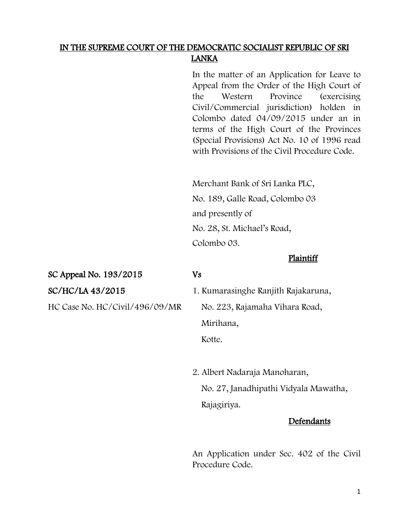### IN THE SUPREME COURT OF THE DEMOCRATIC SOCIALIST REPUBLIC OF SRI LANKA

In the matter of an Application for Leave to Appeal from the Order of the High Court of the Western Province (exercising Civil/Commercial jurisdiction) holden in Colombo dated 04/09/2015 under an in terms of the High Court of the Provinces (Special Provisions) Act No. 10 of 1996 read with Provisions of the Civil Procedure Code.

Merchant Bank of Sri Lanka PLC, No. 189, Galle Road, Colombo 03 and presently of No. 28, St. Michael's Road, Colombo 03.

#### Plaintiff

#### SC Appeal No. 193/2015 Vs

SC/HC/LA 43/2015 1. Kumarasinghe Ranjith Rajakaruna,

HC Case No. HC/Civil/496/09/MR No. 223, Rajamaha Vihara Road,

 Mirihana, Kotte.

2. Albert Nadaraja Manoharan, No. 27, Janadhipathi Vidyala Mawatha, Rajagiriya.

#### Defendants

An Application under Sec. 402 of the Civil Procedure Code.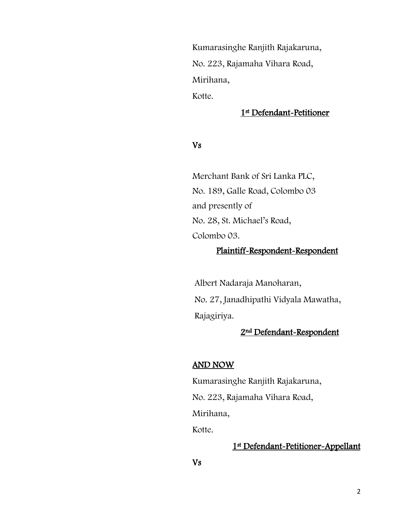Kumarasinghe Ranjith Rajakaruna, No. 223, Rajamaha Vihara Road, Mirihana,

Kotte.

### 1st Defendant-Petitioner

#### Vs

Merchant Bank of Sri Lanka PLC, No. 189, Galle Road, Colombo 03 and presently of No. 28, St. Michael's Road, Colombo 03.

### Plaintiff-Respondent-Respondent

Albert Nadaraja Manoharan, No. 27, Janadhipathi Vidyala Mawatha, Rajagiriya.

### 2nd Defendant-Respondent

#### AND NOW

Kumarasinghe Ranjith Rajakaruna, No. 223, Rajamaha Vihara Road, Mirihana, Kotte.

1st Defendant-Petitioner-Appellant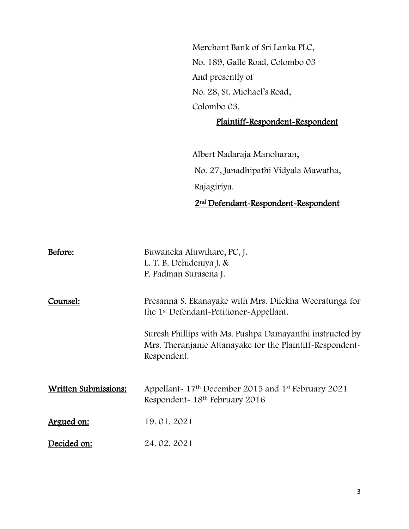Merchant Bank of Sri Lanka PLC, No. 189, Galle Road, Colombo 03 And presently of No. 28, St. Michael's Road, Colombo 03.

Plaintiff-Respondent-Respondent

Albert Nadaraja Manoharan, No. 27, Janadhipathi Vidyala Mawatha, Rajagiriya. 2nd Defendant-Respondent-Respondent

| Before:              | Buwaneka Aluwihare, PC, J.<br>L. T. B. Dehideniya J. &<br>P. Padman Surasena J.                                                      |
|----------------------|--------------------------------------------------------------------------------------------------------------------------------------|
| Counsel:             | Presanna S. Ekanayake with Mrs. Dilekha Weeratunga for<br>the 1 <sup>st</sup> Defendant-Petitioner-Appellant.                        |
|                      | Suresh Phillips with Ms. Pushpa Damayanthi instructed by<br>Mrs. Theranjanie Attanayake for the Plaintiff-Respondent-<br>Respondent. |
| Written Submissions: | Appellant- 17th December 2015 and 1st February 2021<br>Respondent - 18 <sup>th</sup> February 2016                                   |
| <u>Argued on:</u>    | 19.01.2021                                                                                                                           |
| Decided on:          | 24.02.2021                                                                                                                           |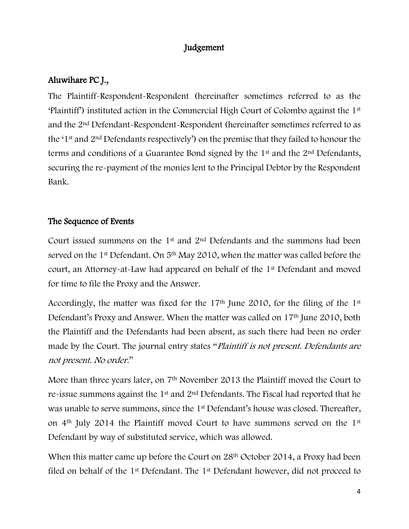# Judgement

# Aluwihare PC J.,

The Plaintiff-Respondent-Respondent (hereinafter sometimes referred to as the 'Plaintiff') instituted action in the Commercial High Court of Colombo against the 1st and the 2nd Defendant-Respondent-Respondent (hereinafter sometimes referred to as the '1st and 2nd Defendants respectively') on the premise that they failed to honour the terms and conditions of a Guarantee Bond signed by the 1st and the 2nd Defendants, securing the re-payment of the monies lent to the Principal Debtor by the Respondent Bank.

## The Sequence of Events

Court issued summons on the  $1<sup>st</sup>$  and  $2<sup>nd</sup>$  Defendants and the summons had been served on the 1<sup>st</sup> Defendant. On 5<sup>th</sup> May 2010, when the matter was called before the court, an Attorney-at-Law had appeared on behalf of the 1st Defendant and moved for time to file the Proxy and the Answer.

Accordingly, the matter was fixed for the 17th June 2010, for the filing of the 1st Defendant's Proxy and Answer. When the matter was called on 17<sup>th</sup> June 2010, both the Plaintiff and the Defendants had been absent, as such there had been no order made by the Court. The journal entry states "*Plaintiff is not present. Defendants are* not present. No order."

More than three years later, on 7<sup>th</sup> November 2013 the Plaintiff moved the Court to re-issue summons against the 1st and 2nd Defendants. The Fiscal had reported that he was unable to serve summons, since the 1<sup>st</sup> Defendant's house was closed. Thereafter, on 4th July 2014 the Plaintiff moved Court to have summons served on the 1st Defendant by way of substituted service, which was allowed.

When this matter came up before the Court on 28<sup>th</sup> October 2014, a Proxy had been filed on behalf of the 1st Defendant. The 1st Defendant however, did not proceed to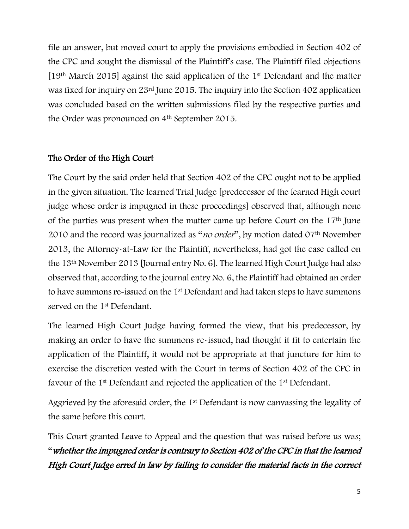file an answer, but moved court to apply the provisions embodied in Section 402 of the CPC and sought the dismissal of the Plaintiff's case. The Plaintiff filed objections [19th March 2015] against the said application of the 1st Defendant and the matter was fixed for inquiry on 23rd June 2015. The inquiry into the Section 402 application was concluded based on the written submissions filed by the respective parties and the Order was pronounced on 4th September 2015.

### The Order of the High Court

The Court by the said order held that Section 402 of the CPC ought not to be applied in the given situation. The learned Trial Judge [predecessor of the learned High court judge whose order is impugned in these proceedings] observed that, although none of the parties was present when the matter came up before Court on the 17th June 2010 and the record was journalized as "no order", by motion dated 07<sup>th</sup> November 2013, the Attorney-at-Law for the Plaintiff, nevertheless, had got the case called on the 13th November 2013 [Journal entry No. 6]. The learned High Court Judge had also observed that, according to the journal entry No. 6, the Plaintiff had obtained an order to have summons re-issued on the 1st Defendant and had taken steps to have summons served on the 1st Defendant.

The learned High Court Judge having formed the view, that his predecessor, by making an order to have the summons re-issued, had thought it fit to entertain the application of the Plaintiff, it would not be appropriate at that juncture for him to exercise the discretion vested with the Court in terms of Section 402 of the CPC in favour of the 1st Defendant and rejected the application of the 1st Defendant.

Aggrieved by the aforesaid order, the 1st Defendant is now canvassing the legality of the same before this court.

This Court granted Leave to Appeal and the question that was raised before us was; "whether the impugned order is contrary to Section 402 of the CPC in that the learned High Court Judge erred in law by failing to consider the material facts in the correct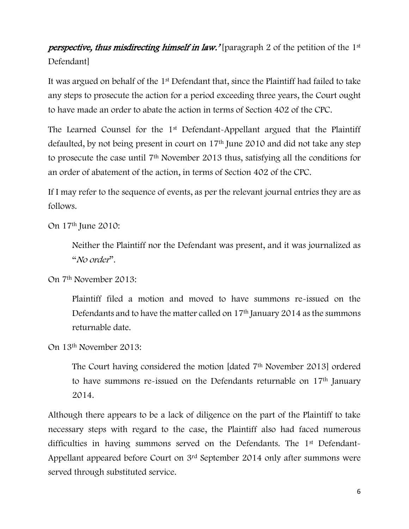# **perspective, thus misdirecting himself in law.'** [paragraph 2 of the petition of the 1<sup>st</sup> Defendant]

It was argued on behalf of the 1st Defendant that, since the Plaintiff had failed to take any steps to prosecute the action for a period exceeding three years, the Court ought to have made an order to abate the action in terms of Section 402 of the CPC.

The Learned Counsel for the 1st Defendant-Appellant argued that the Plaintiff defaulted, by not being present in court on 17th June 2010 and did not take any step to prosecute the case until 7th November 2013 thus, satisfying all the conditions for an order of abatement of the action, in terms of Section 402 of the CPC.

If I may refer to the sequence of events, as per the relevant journal entries they are as follows.

On 17th June 2010:

Neither the Plaintiff nor the Defendant was present, and it was journalized as "No order".

On 7th November 2013:

Plaintiff filed a motion and moved to have summons re-issued on the Defendants and to have the matter called on 17<sup>th</sup> January 2014 as the summons returnable date.

On 13th November 2013:

The Court having considered the motion [dated 7<sup>th</sup> November 2013] ordered to have summons re-issued on the Defendants returnable on 17<sup>th</sup> January 2014.

Although there appears to be a lack of diligence on the part of the Plaintiff to take necessary steps with regard to the case, the Plaintiff also had faced numerous difficulties in having summons served on the Defendants. The 1st Defendant-Appellant appeared before Court on 3rd September 2014 only after summons were served through substituted service.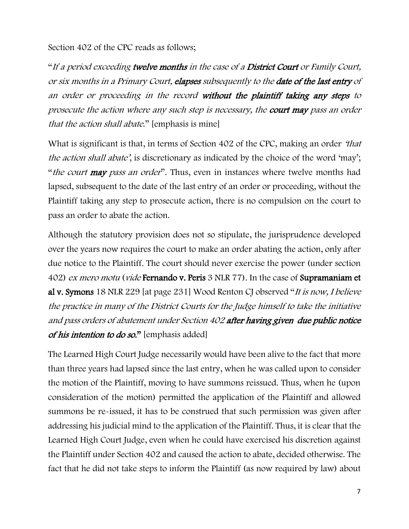Section 402 of the CPC reads as follows;

"If a period exceeding twelve months in the case of a District Court or Family Court, or six months in a Primary Court, elapses subsequently to the date of the last entry of an order or proceeding in the record without the plaintiff taking any steps to prosecute the action where any such step is necessary, the **court may** pass an order that the action shall abate." [emphasis is mine]

What is significant is that, in terms of Section 402 of the CPC, making an order *that* the action shall abate', is discretionary as indicated by the choice of the word 'may'; "*the court may pass an order*". Thus, even in instances where twelve months had lapsed, subsequent to the date of the last entry of an order or proceeding, without the Plaintiff taking any step to prosecute action, there is no compulsion on the court to pass an order to abate the action.

Although the statutory provision does not so stipulate, the jurisprudence developed over the years now requires the court to make an order abating the action, only after due notice to the Plaintiff. The court should never exercise the power (under section 402) ex mero motu (vide Fernando v. Peris 3 NLR 77). In the case of Supramaniam et al v. Symons 18 NLR 229 [at page 231] Wood Renton CJ observed "It is now, I believe the practice in many of the District Courts for the Judge himself to take the initiative and pass orders of abatement under Section 402 after having given due public notice of his intention to do so." [emphasis added]

The Learned High Court Judge necessarily would have been alive to the fact that more than three years had lapsed since the last entry, when he was called upon to consider the motion of the Plaintiff, moving to have summons reissued. Thus, when he (upon consideration of the motion) permitted the application of the Plaintiff and allowed summons be re-issued, it has to be construed that such permission was given after addressing his judicial mind to the application of the Plaintiff. Thus, it is clear that the Learned High Court Judge, even when he could have exercised his discretion against the Plaintiff under Section 402 and caused the action to abate, decided otherwise. The fact that he did not take steps to inform the Plaintiff (as now required by law) about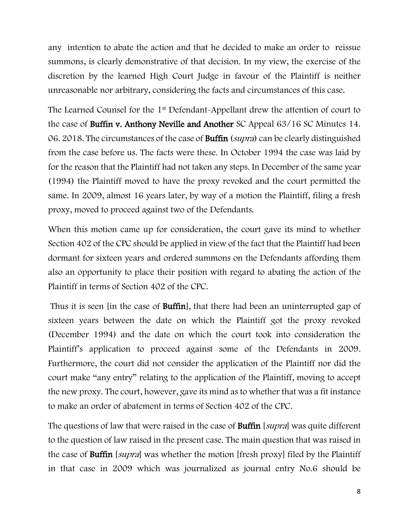any intention to abate the action and that he decided to make an order to reissue summons, is clearly demonstrative of that decision. In my view, the exercise of the discretion by the learned High Court Judge in favour of the Plaintiff is neither unreasonable nor arbitrary, considering the facts and circumstances of this case.

The Learned Counsel for the 1<sup>st</sup> Defendant-Appellant drew the attention of court to the case of Buffin v. Anthony Neville and Another SC Appeal 63/16 SC Minutes 14. 06. 2018. The circumstances of the case of **Buffin** (*supra*) can be clearly distinguished from the case before us. The facts were these. In October 1994 the case was laid by for the reason that the Plaintiff had not taken any steps. In December of the same year (1994) the Plaintiff moved to have the proxy revoked and the court permitted the same. In 2009, almost 16 years later, by way of a motion the Plaintiff, filing a fresh proxy, moved to proceed against two of the Defendants.

When this motion came up for consideration, the court gave its mind to whether Section 402 of the CPC should be applied in view of the fact that the Plaintiff had been dormant for sixteen years and ordered summons on the Defendants affording them also an opportunity to place their position with regard to abating the action of the Plaintiff in terms of Section 402 of the CPC.

Thus it is seen [in the case of Buffin], that there had been an uninterrupted gap of sixteen years between the date on which the Plaintiff got the proxy revoked (December 1994) and the date on which the court took into consideration the Plaintiff's application to proceed against some of the Defendants in 2009. Furthermore, the court did not consider the application of the Plaintiff nor did the court make "any entry" relating to the application of the Plaintiff, moving to accept the new proxy. The court, however, gave its mind as to whether that was a fit instance to make an order of abatement in terms of Section 402 of the CPC.

The questions of law that were raised in the case of **Buffin** [*supra*] was quite different to the question of law raised in the present case. The main question that was raised in the case of Buffin [supra] was whether the motion [fresh proxy] filed by the Plaintiff in that case in 2009 which was journalized as journal entry No.6 should be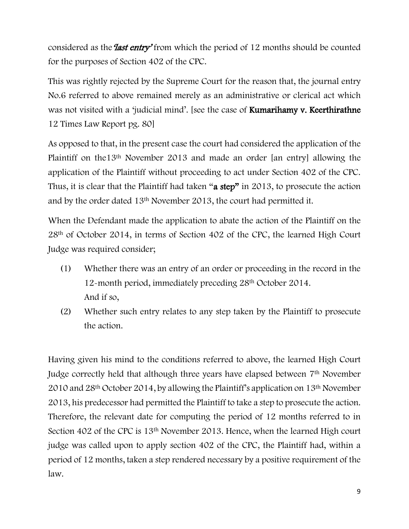considered as the *last entry* from which the period of 12 months should be counted for the purposes of Section 402 of the CPC.

This was rightly rejected by the Supreme Court for the reason that, the journal entry No.6 referred to above remained merely as an administrative or clerical act which was not visited with a 'judicial mind'. [see the case of **Kumarihamy v. Keerthirathne** 12 Times Law Report pg. 80]

As opposed to that, in the present case the court had considered the application of the Plaintiff on the13th November 2013 and made an order [an entry] allowing the application of the Plaintiff without proceeding to act under Section 402 of the CPC. Thus, it is clear that the Plaintiff had taken "a step" in 2013, to prosecute the action and by the order dated 13th November 2013, the court had permitted it.

When the Defendant made the application to abate the action of the Plaintiff on the 28th of October 2014, in terms of Section 402 of the CPC, the learned High Court Judge was required consider;

- (1) Whether there was an entry of an order or proceeding in the record in the 12-month period, immediately preceding 28th October 2014. And if so,
- (2) Whether such entry relates to any step taken by the Plaintiff to prosecute the action.

Having given his mind to the conditions referred to above, the learned High Court Judge correctly held that although three years have elapsed between 7th November 2010 and 28th October 2014, by allowing the Plaintiff's application on 13th November 2013, his predecessor had permitted the Plaintiff to take a step to prosecute the action. Therefore, the relevant date for computing the period of 12 months referred to in Section 402 of the CPC is 13th November 2013. Hence, when the learned High court judge was called upon to apply section 402 of the CPC, the Plaintiff had, within a period of 12 months, taken a step rendered necessary by a positive requirement of the law.